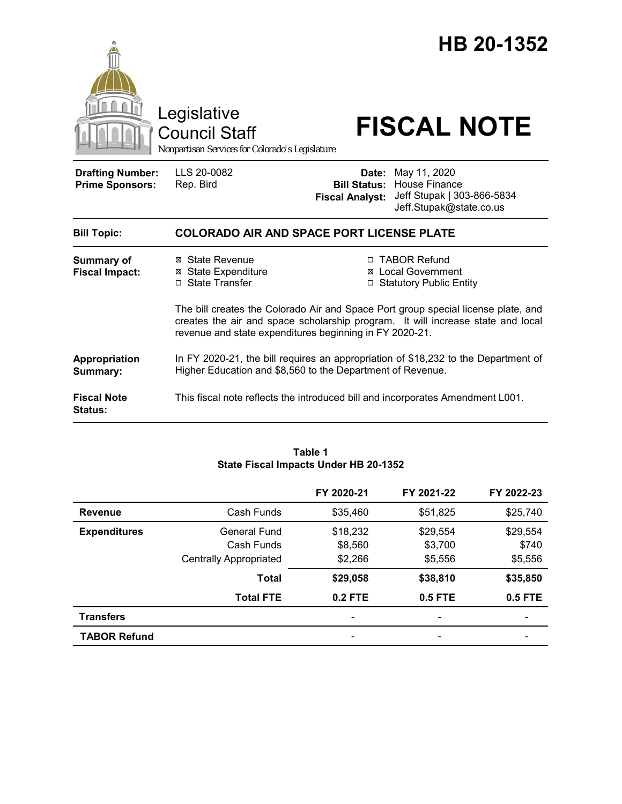|                                                   | Legislative<br><b>Council Staff</b><br>Nonpartisan Services for Colorado's Legislature                                                                                                                                          |                        | HB 20-1352<br><b>FISCAL NOTE</b>                                                                                 |
|---------------------------------------------------|---------------------------------------------------------------------------------------------------------------------------------------------------------------------------------------------------------------------------------|------------------------|------------------------------------------------------------------------------------------------------------------|
| <b>Drafting Number:</b><br><b>Prime Sponsors:</b> | LLS 20-0082<br>Rep. Bird                                                                                                                                                                                                        | <b>Fiscal Analyst:</b> | Date: May 11, 2020<br><b>Bill Status: House Finance</b><br>Jeff Stupak   303-866-5834<br>Jeff.Stupak@state.co.us |
| <b>Bill Topic:</b>                                | <b>COLORADO AIR AND SPACE PORT LICENSE PLATE</b>                                                                                                                                                                                |                        |                                                                                                                  |
| <b>Summary of</b><br><b>Fiscal Impact:</b>        | ⊠ State Revenue<br><b>⊠ State Expenditure</b><br>□ State Transfer                                                                                                                                                               |                        | □ TABOR Refund<br>⊠ Local Government<br>□ Statutory Public Entity                                                |
|                                                   | The bill creates the Colorado Air and Space Port group special license plate, and<br>creates the air and space scholarship program. It will increase state and local<br>revenue and state expenditures beginning in FY 2020-21. |                        |                                                                                                                  |
| Appropriation<br>Summary:                         | Higher Education and \$8,560 to the Department of Revenue.                                                                                                                                                                      |                        | In FY 2020-21, the bill requires an appropriation of \$18,232 to the Department of                               |
| <b>Fiscal Note</b><br>Status:                     |                                                                                                                                                                                                                                 |                        | This fiscal note reflects the introduced bill and incorporates Amendment L001.                                   |

#### **Table 1 State Fiscal Impacts Under HB 20-1352**

|                     |                               | FY 2020-21 | FY 2021-22               | FY 2022-23 |
|---------------------|-------------------------------|------------|--------------------------|------------|
| Revenue             | Cash Funds                    | \$35,460   | \$51,825                 | \$25,740   |
| <b>Expenditures</b> | <b>General Fund</b>           | \$18,232   | \$29,554                 | \$29,554   |
|                     | Cash Funds                    | \$8,560    | \$3,700                  | \$740      |
|                     | <b>Centrally Appropriated</b> | \$2,266    | \$5,556                  | \$5,556    |
|                     | Total                         | \$29,058   | \$38,810                 | \$35,850   |
|                     | <b>Total FTE</b>              | $0.2$ FTE  | $0.5$ FTE                | 0.5 FTE    |
| <b>Transfers</b>    |                               | -          | $\overline{\phantom{0}}$ |            |
| <b>TABOR Refund</b> |                               |            |                          |            |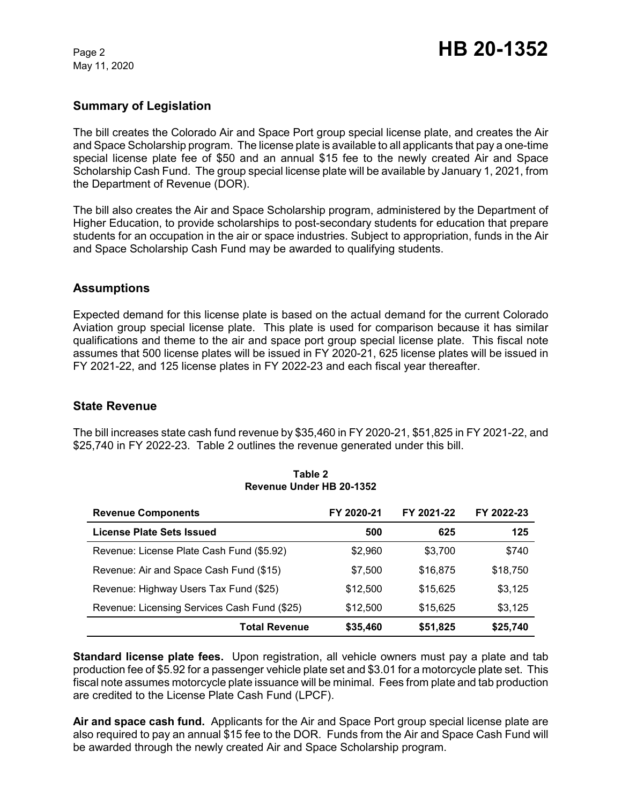# **Summary of Legislation**

The bill creates the Colorado Air and Space Port group special license plate, and creates the Air and Space Scholarship program. The license plate is available to all applicants that pay a one-time special license plate fee of \$50 and an annual \$15 fee to the newly created Air and Space Scholarship Cash Fund. The group special license plate will be available by January 1, 2021, from the Department of Revenue (DOR).

The bill also creates the Air and Space Scholarship program, administered by the Department of Higher Education, to provide scholarships to post-secondary students for education that prepare students for an occupation in the air or space industries. Subject to appropriation, funds in the Air and Space Scholarship Cash Fund may be awarded to qualifying students.

## **Assumptions**

Expected demand for this license plate is based on the actual demand for the current Colorado Aviation group special license plate. This plate is used for comparison because it has similar qualifications and theme to the air and space port group special license plate. This fiscal note assumes that 500 license plates will be issued in FY 2020-21, 625 license plates will be issued in FY 2021-22, and 125 license plates in FY 2022-23 and each fiscal year thereafter.

## **State Revenue**

The bill increases state cash fund revenue by \$35,460 in FY 2020-21, \$51,825 in FY 2021-22, and \$25,740 in FY 2022-23. Table 2 outlines the revenue generated under this bill.

| <b>Revenue Components</b>                    | FY 2020-21 | FY 2021-22 | FY 2022-23 |
|----------------------------------------------|------------|------------|------------|
| <b>License Plate Sets Issued</b>             | 500        | 625        | 125        |
| Revenue: License Plate Cash Fund (\$5.92)    | \$2,960    | \$3.700    | \$740      |
| Revenue: Air and Space Cash Fund (\$15)      | \$7,500    | \$16,875   | \$18,750   |
| Revenue: Highway Users Tax Fund (\$25)       | \$12,500   | \$15,625   | \$3,125    |
| Revenue: Licensing Services Cash Fund (\$25) | \$12,500   | \$15,625   | \$3,125    |
| <b>Total Revenue</b>                         | \$35,460   | \$51,825   | \$25,740   |

#### **Table 2 Revenue Under HB 20-1352**

**Standard license plate fees.** Upon registration, all vehicle owners must pay a plate and tab production fee of \$5.92 for a passenger vehicle plate set and \$3.01 for a motorcycle plate set. This fiscal note assumes motorcycle plate issuance will be minimal. Fees from plate and tab production are credited to the License Plate Cash Fund (LPCF).

**Air and space cash fund.** Applicants for the Air and Space Port group special license plate are also required to pay an annual \$15 fee to the DOR. Funds from the Air and Space Cash Fund will be awarded through the newly created Air and Space Scholarship program.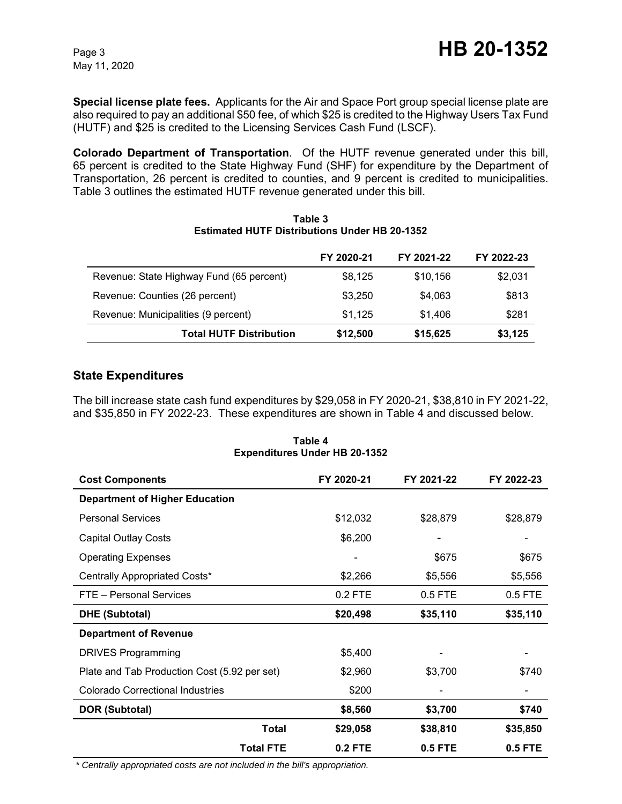**Special license plate fees.** Applicants for the Air and Space Port group special license plate are also required to pay an additional \$50 fee, of which \$25 is credited to the Highway Users Tax Fund (HUTF) and \$25 is credited to the Licensing Services Cash Fund (LSCF).

**Colorado Department of Transportation**. Of the HUTF revenue generated under this bill, 65 percent is credited to the State Highway Fund (SHF) for expenditure by the Department of Transportation, 26 percent is credited to counties, and 9 percent is credited to municipalities. Table 3 outlines the estimated HUTF revenue generated under this bill.

|                                          | FY 2020-21 | FY 2021-22 | FY 2022-23 |
|------------------------------------------|------------|------------|------------|
| Revenue: State Highway Fund (65 percent) | \$8,125    | \$10,156   | \$2,031    |
| Revenue: Counties (26 percent)           | \$3.250    | \$4,063    | \$813      |
| Revenue: Municipalities (9 percent)      | \$1.125    | \$1,406    | \$281      |
| <b>Total HUTF Distribution</b>           | \$12,500   | \$15,625   | \$3,125    |

#### **Table 3 Estimated HUTF Distributions Under HB 20-1352**

## **State Expenditures**

The bill increase state cash fund expenditures by \$29,058 in FY 2020-21, \$38,810 in FY 2021-22, and \$35,850 in FY 2022-23. These expenditures are shown in Table 4 and discussed below.

| <b>Cost Components</b>                       | FY 2020-21 | FY 2021-22 | FY 2022-23 |
|----------------------------------------------|------------|------------|------------|
| <b>Department of Higher Education</b>        |            |            |            |
| <b>Personal Services</b>                     | \$12,032   | \$28,879   | \$28,879   |
| <b>Capital Outlay Costs</b>                  | \$6,200    |            |            |
| <b>Operating Expenses</b>                    |            | \$675      | \$675      |
| Centrally Appropriated Costs*                | \$2,266    | \$5,556    | \$5,556    |
| FTE - Personal Services                      | 0.2 FTE    | 0.5 FTE    | $0.5$ FTE  |
| <b>DHE (Subtotal)</b>                        | \$20,498   | \$35,110   | \$35,110   |
| <b>Department of Revenue</b>                 |            |            |            |
| <b>DRIVES Programming</b>                    | \$5,400    |            |            |
| Plate and Tab Production Cost (5.92 per set) | \$2,960    | \$3,700    | \$740      |
| <b>Colorado Correctional Industries</b>      | \$200      |            |            |
| DOR (Subtotal)                               | \$8,560    | \$3,700    | \$740      |
| <b>Total</b>                                 | \$29,058   | \$38,810   | \$35,850   |
| <b>Total FTE</b>                             | 0.2 FTE    | 0.5 FTE    | 0.5 FTE    |

**Table 4 Expenditures Under HB 20-1352**

 *\* Centrally appropriated costs are not included in the bill's appropriation.*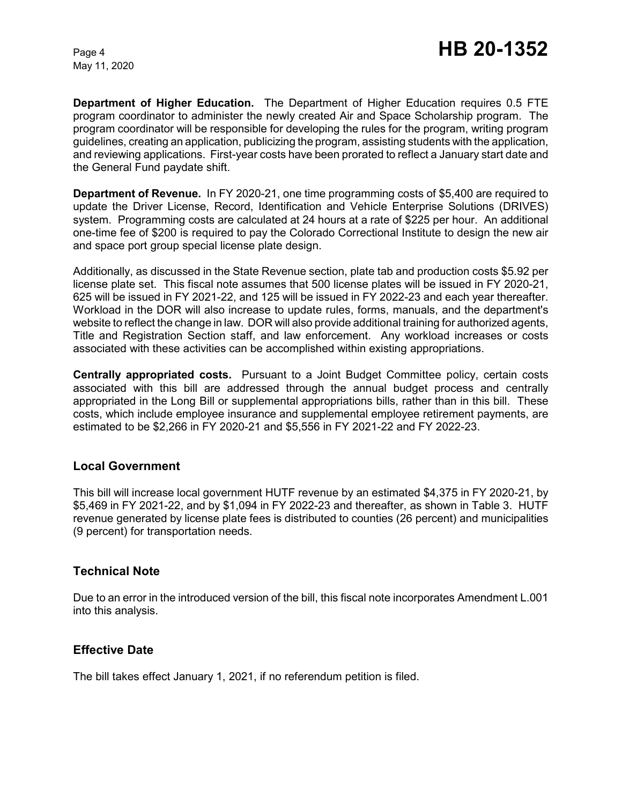**Department of Higher Education.** The Department of Higher Education requires 0.5 FTE program coordinator to administer the newly created Air and Space Scholarship program. The program coordinator will be responsible for developing the rules for the program, writing program guidelines, creating an application, publicizing the program, assisting students with the application, and reviewing applications. First-year costs have been prorated to reflect a January start date and the General Fund paydate shift.

**Department of Revenue.** In FY 2020-21, one time programming costs of \$5,400 are required to update the Driver License, Record, Identification and Vehicle Enterprise Solutions (DRIVES) system. Programming costs are calculated at 24 hours at a rate of \$225 per hour. An additional one-time fee of \$200 is required to pay the Colorado Correctional Institute to design the new air and space port group special license plate design.

Additionally, as discussed in the State Revenue section, plate tab and production costs \$5.92 per license plate set. This fiscal note assumes that 500 license plates will be issued in FY 2020-21, 625 will be issued in FY 2021-22, and 125 will be issued in FY 2022-23 and each year thereafter. Workload in the DOR will also increase to update rules, forms, manuals, and the department's website to reflect the change in law. DOR will also provide additional training for authorized agents, Title and Registration Section staff, and law enforcement. Any workload increases or costs associated with these activities can be accomplished within existing appropriations.

**Centrally appropriated costs.** Pursuant to a Joint Budget Committee policy, certain costs associated with this bill are addressed through the annual budget process and centrally appropriated in the Long Bill or supplemental appropriations bills, rather than in this bill. These costs, which include employee insurance and supplemental employee retirement payments, are estimated to be \$2,266 in FY 2020-21 and \$5,556 in FY 2021-22 and FY 2022-23.

## **Local Government**

This bill will increase local government HUTF revenue by an estimated \$4,375 in FY 2020-21, by \$5,469 in FY 2021-22, and by \$1,094 in FY 2022-23 and thereafter, as shown in Table 3. HUTF revenue generated by license plate fees is distributed to counties (26 percent) and municipalities (9 percent) for transportation needs.

## **Technical Note**

Due to an error in the introduced version of the bill, this fiscal note incorporates Amendment L.001 into this analysis.

## **Effective Date**

The bill takes effect January 1, 2021, if no referendum petition is filed.